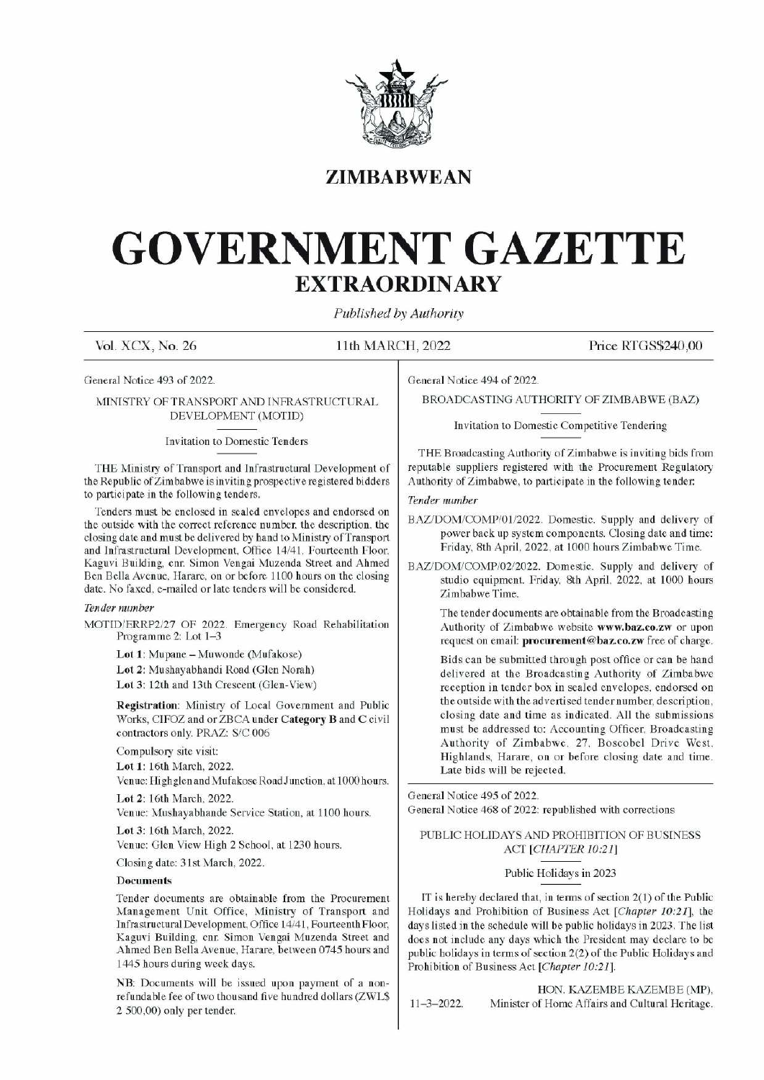

## ZIMBABWEAN

# GOVERNMENT GAZETTE EXTRAORDINARY EXTRAOR EXTRAOR  $\text{GOVERNME} \begin{minipage}{0.5\textwidth} \begin{tabular}{c} \multicolumn{2}{c}{\textbf{GOVERNME}}\\ \hline \textbf{EXYRAO} \end{tabular} \end{minipage}$

Published by Authority

Vol. XCX, No. 26 11th MARCH, 2022 Price RTGS\$240,00

General Notice 493 of 2022.

MINISTRY OF TRANSPORT AND INFRASTRUCTURAL DEVELOPMENT (MOTID)

Invitation to Domestic Tenders

THE Ministry of Transport and Infrastructural Development of the Republic of Zimbabwe is inviting prospective registered bidders to participate in the following tenders.

Tenders must be enclosed in sealed envelopes and endorsed on the outside with the correct reference number, the description, the closing date and must be delivered by hand to Ministry of Transport and Infrastructural Development, Office 14/41, Fourteenth Floor, Kaguvi Building, cnr. Simon Vengai Muzenda Street and Ahmed Ben Bella Avenue, Harare, on or before 1100 hours on the closing date. No faxed, e-mailed or late tenders will be considered.

### Tender number

MOTID/ERRP2/27 OF 2022. Emergency Road Rehabilitation Programme 2: Lot 1-3

Lot 1: Mupane — Muwonde (Mufakose)

Lot 2: Mushayabhandi Road (Glen Norah)

Lot 3: 12th and 13th Crescent (Glen-View)

Registration: Ministry of Local Government and Public Works, CIFOZ and or ZBCA under Category B and C civil contractors only. PRAZ: S/C 006

Compulsory site visit:

Lot 1: 16th March, 2022.

Venue: Highglen and Mufakose Road Junction, at 1000 hours.

Lot 2: 16th March, 2022.

Venue: Mushayabhande Service Station, at 1100 hours.

Lot 3: 16th March, 2022.

Venue: Glen View High 2 School, at 1230 hours.

Closing date: 31st March, 2022.

### Documents

Tender documents are obtainable from the Procurement Management Unit Office, Ministry of Transport and Infrastructural Development, Office 14/41, Fourteenth Floor, Kaguvi Building, cnr. Simon Vengai Muzenda Street and Ahmed Ben Bella Avenue, Harare, between 0745 hours and 1445 hours during week days.

of a non-<br>rs(ZWL\$ NB: Documents will be issued upon payment of a nonrefundable fee of two thousand five hundred dollars (ZWL\$ 2 500,00) only per tender.

General Notice 494 of 2022.

BROADCASTING AUTHORITY OF ZIMBABWE (BAZ)

Invitation to Domestic Competitive Tendering

THE Broadcasting Authority of Zimbabwe is inviting bids from reputable suppliers registered with the Procurement Regulatory Authority of Zimbabwe, to participate in the following tender:

### Tender number

- BAZ/DOM/COMP/01/2022. Domestic. Supply and delivery of power back up system components. Closing date and time: Friday, 8th April, 2022, at 1000 hours Zimbabwe Time.
- BAZ/DOM/COMP/02/2022. Domestic. Supply and delivery of studio equipment. Friday, 8th April, 2022, at 1000 hours Zimbabwe Time.

The tender documents are obtainable from the Broadcasting Authority of Zimbabwe website www.baz.co.zw or upon request on email: procurement@baz.co.zw free of charge.

Bids can be submitted through post office or can be hand delivered at the Broadcasting Authority of Zimbabwe reception in tender box in sealed envelopes, endorsed on the outside with the advertised tender number, description, closing date and time as indicated. All the submissions must be addressed to: Accounting Officer, Broadcasting Authority of Zimbabwe, 27, Boscobel Drive West, Highlands, Harare, on or before closing date and time. Authority of Zimbabwe, to partic<br>
Tender number<br>
BAZ/DOM/COMP/01/2022. Dc<br>
power back up system con<br>
Friday, 8th April, 2022, a<br>
BAZ/DOM/COMP/02/2022. Do<br>
studio equipment. Friday.<br>
Zimbabwe Time.<br>
The tender documents are Late bids will be rejected.

General Notice 495 of 2022. General Notice 468 of 2022: republished with corrections

### PUBLIC HOLIDAYS AND PROHIBITION OF BUSINESS ACT [CHAPTER 10:21]

### Public Holidays in 2023

IT is hereby declared that, in terms of section 2(1) of the Public Holidays and Prohibition of Business Act [Chapter 10:21], the days listed in the schedule will be public holidays in 2023. The list does not include any days which the President may declare to be public holidays in terms of section 2(2) of the Public Holidays and Prohibition of Business Act [Chapter 10:21].

HON. KAZEMBE KAZEMBE (MP), 11-3-2022. Minister of Home Affairs and Cultural Heritage.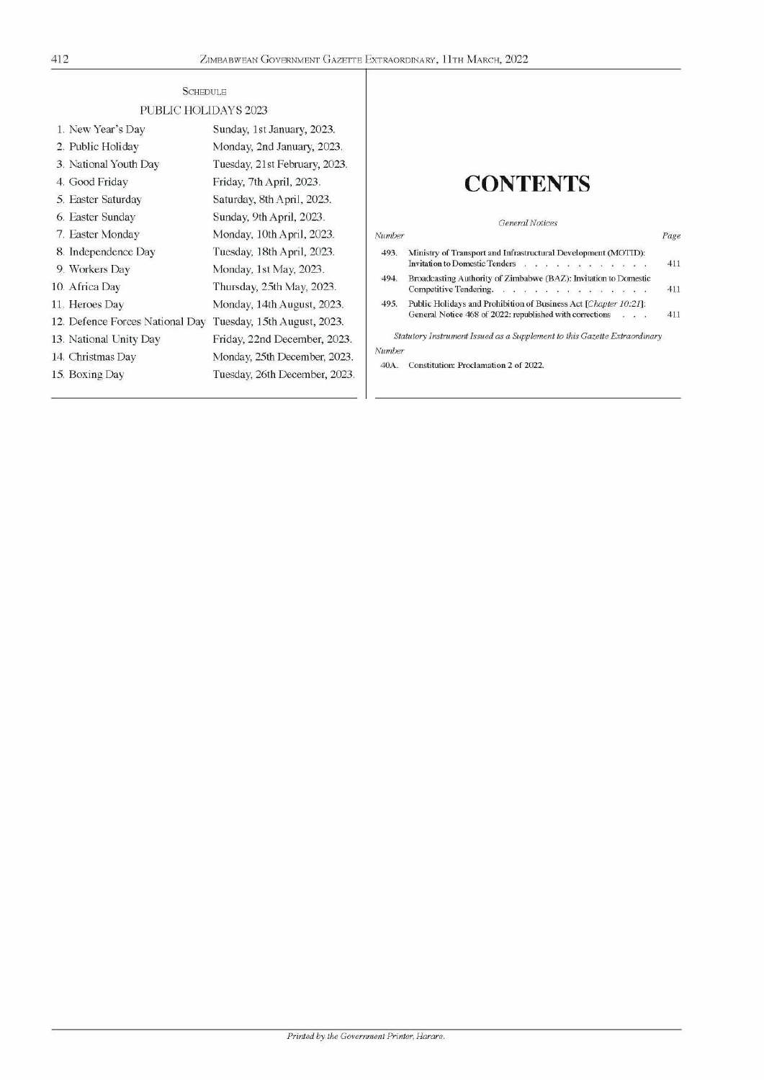| ÷ |  |  |
|---|--|--|

| 412 |                                 | ZIMBABWEAN GOVERNMENT GAZETTE EXTRAORDINARY, 11TH MARCH, 2022 |        |                                                                                                   |  |
|-----|---------------------------------|---------------------------------------------------------------|--------|---------------------------------------------------------------------------------------------------|--|
|     | <b>SCHEDULE</b>                 |                                                               |        |                                                                                                   |  |
|     | PUBLIC HOLIDAYS 2023            |                                                               |        |                                                                                                   |  |
|     | 1. New Year's Day               | Sunday, 1st January, 2023.                                    |        |                                                                                                   |  |
|     | 2. Public Holiday               | Monday, 2nd January, 2023.                                    |        |                                                                                                   |  |
|     | 3. National Youth Day           | Tuesday, 21st February, 2023.                                 |        |                                                                                                   |  |
|     | 4. Good Friday                  | Friday, 7th April, 2023.                                      |        | <b>CONTENTS</b>                                                                                   |  |
|     | 5. Easter Saturday              | Saturday, 8th April, 2023.                                    |        |                                                                                                   |  |
|     | 6. Easter Sunday                | Sunday, 9th April, 2023.                                      |        | General Notices                                                                                   |  |
|     | 7. Easter Monday                | Monday, 10th April, 2023.                                     | Number | Page                                                                                              |  |
|     | 8. Independence Day             | Tuesday, 18th April, 2023.                                    | 493.   | Ministry of Transport and Infrastructural Development (MOTID):                                    |  |
|     | 9. Workers Day                  | Monday, 1st May, 2023.                                        |        | Invitation to Domestic Tenders<br>411<br>$\ddot{\phantom{1}}$                                     |  |
|     | 10. Africa Day                  | Thursday, 25th May, 2023.                                     | 494.   | Broadcasting Authority of Zimbabwe (BAZ): Invitation to Domestic<br>411<br>Competitive Tendering. |  |
|     | 11. Heroes Day                  | Monday, 14th August, 2023.                                    | 495.   | Public Holidays and Prohibition of Business Act [Chapter 10:21]:                                  |  |
|     | 12. Defence Forces National Day | Tuesday, 15th August, 2023.                                   |        | General Notice 468 of 2022: republished with corrections<br>411<br>$\sim$ $\sim$<br>ù.            |  |
|     | 13. National Unity Day          | Friday, 22nd December, 2023.                                  |        | Statutory Instrument Issued as a Supplement to this Gazette Extraordinary                         |  |
|     | 14. Christmas Day               | Monday, 25th December, 2023.                                  | Number |                                                                                                   |  |
|     | 15. Boxing Day                  | Tuesday, 26th December, 2023.                                 | 40A.   | Constitution: Proclamation 2 of 2022.                                                             |  |

# CONTENTS

| Invitation to Domestic Tenders<br>Broadcasting Authority of Zimbabwe (BAZ): Invitation to Domestic<br>494.<br>Competitive Tendering. $\ldots$ , $\ldots$ , $\ldots$ , $\ldots$ , $\ldots$ , $\ldots$ |     | Ministry of Transport and Infrastructural Development (MOTID):   | 493. |
|------------------------------------------------------------------------------------------------------------------------------------------------------------------------------------------------------|-----|------------------------------------------------------------------|------|
|                                                                                                                                                                                                      | 411 |                                                                  |      |
|                                                                                                                                                                                                      |     |                                                                  |      |
|                                                                                                                                                                                                      | 411 |                                                                  |      |
|                                                                                                                                                                                                      |     | Public Holidays and Prohibition of Business Act [Chapter 10:21]: | 495. |
| General Notice 468 of 2022: republished with corrections<br>$\approx$ 100 $\pm$ 100                                                                                                                  | 411 |                                                                  |      |